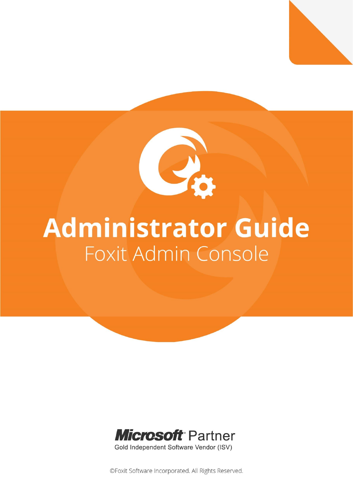

*Foxit Admin Console Administrator Guide*

# **Administrator Guide** Foxit Admin Console



Gold Independent Software Vendor (ISV)

©Foxit Software Incorporated. All Rights Reserved.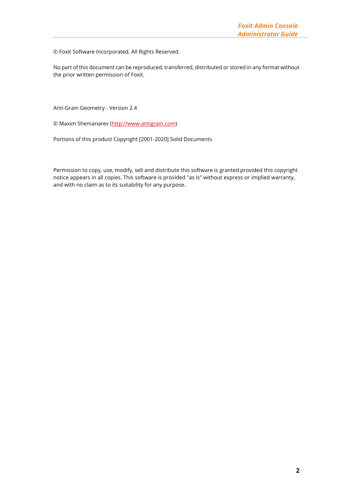© Foxit Software Incorporated. All Rights Reserved.

No part of this document can be reproduced, transferred, distributed or stored in any format without the prior written permission of Foxit.

Anti-Grain Geometry - Version 2.4

© Maxim Shemanarev [\(http://www.antigrain.com\)](http://www.antigrain.com/)

Portions of this product Copyright [2001-2020] Solid Documents

Permission to copy, use, modify, sell and distribute this software is granted provided this copyright notice appears in all copies. This software is provided "as is" without express or implied warranty, and with no claim as to its suitability for any purpose.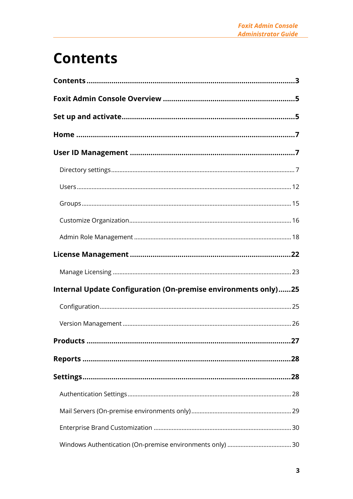# <span id="page-2-0"></span>**Contents**

| Internal Update Configuration (On-premise environments only)25 |    |
|----------------------------------------------------------------|----|
|                                                                |    |
|                                                                |    |
| Products                                                       | 27 |
|                                                                |    |
|                                                                |    |
|                                                                |    |
|                                                                |    |
|                                                                |    |
|                                                                |    |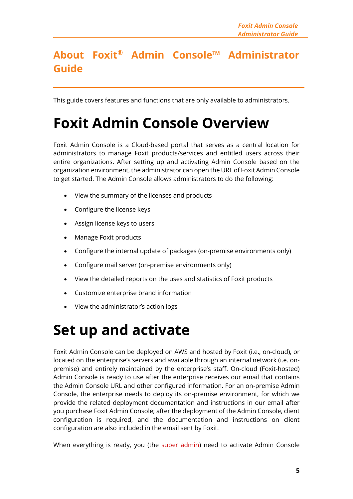## **About Foxit® Admin Console™ Administrator Guide**

This guide covers features and functions that are only available to administrators.

# <span id="page-4-0"></span>**Foxit Admin Console Overview**

Foxit Admin Console is a Cloud-based portal that serves as a central location for administrators to manage Foxit products/services and entitled users across their entire organizations. After setting up and activating Admin Console based on the organization environment, the administrator can open the URL of Foxit Admin Console to get started. The Admin Console allows administrators to do the following:

- View the summary of the licenses and products
- Configure the license keys
- Assign license keys to users
- Manage Foxit products
- Configure the internal update of packages (on-premise environments only)
- Configure mail server (on-premise environments only)
- View the detailed reports on the uses and statistics of Foxit products
- Customize enterprise brand information
- View the administrator's action logs

# <span id="page-4-1"></span>**Set up and activate**

Foxit Admin Console can be deployed on AWS and hosted by Foxit (i.e., on-cloud), or located on the enterprise's servers and available through an internal network (i.e. onpremise) and entirely maintained by the enterprise's staff. On-cloud (Foxit-hosted) Admin Console is ready to use after the enterprise receives our email that contains the Admin Console URL and other configured information. For an on-premise Admin Console, the enterprise needs to deploy its on-premise environment, for which we provide the related deployment documentation and instructions in our email after you purchase Foxit Admin Console; after the deployment of the Admin Console, client configuration is required, and the documentation and instructions on client configuration are also included in the email sent by Foxit.

When everything is ready, you (the super [admin\)](#page-17-1) need to activate Admin Console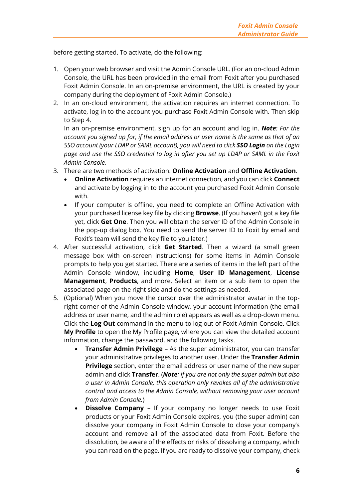before getting started. To activate, do the following:

- 1. Open your web browser and visit the Admin Console URL. (For an on-cloud Admin Console, the URL has been provided in the email from Foxit after you purchased Foxit Admin Console. In an on-premise environment, the URL is created by your company during the deployment of Foxit Admin Console.)
- 2. In an on-cloud environment, the activation requires an internet connection. To activate, log in to the account you purchase Foxit Admin Console with. Then skip to Step 4.

In an on-premise environment, sign up for an account and log in. *Note: For the account you signed up for, if the email address or user name is the same as that of an SSO account (your LDAP or SAML account), you will need to click SSO Login on the Login page and use the SSO credential to log in after you set up LDAP or SAML in the Foxit Admin Console.* 

- 3. There are two methods of activation: **Online Activation** and **Offline Activation**.
	- **Online Activation** requires an internet connection, and you can click **Connect** and activate by logging in to the account you purchased Foxit Admin Console with.
	- If your computer is offline, you need to complete an Offline Activation with your purchased license key file by clicking **Browse**. (If you haven't got a key file yet, click **Get One**. Then you will obtain the server ID of the Admin Console in the pop-up dialog box. You need to send the server ID to Foxit by email and Foxit's team will send the key file to you later.)
- 4. After successful activation, click **Get Started**. Then a wizard (a small green message box with on-screen instructions) for some items in Admin Console prompts to help you get started. There are a series of items in the left part of the Admin Console window, including **Home**, **User ID Management**, **License Management**, **Products**, and more. Select an item or a sub item to open the associated page on the right side and do the settings as needed.
- <span id="page-5-1"></span><span id="page-5-0"></span>5. (Optional) When you move the cursor over the administrator avatar in the topright corner of the Admin Console window, your account information (the email address or user name, and the admin role) appears as well as a drop-down menu. Click the **Log Out** command in the menu to log out of Foxit Admin Console. Click **My Profile** to open the My Profile page, where you can view the detailed account information, change the password, and the following tasks.
	- **Transfer Admin Privilege** As the super administrator, you can transfer your administrative privileges to another user. Under the **Transfer Admin Privilege** section, enter the email address or user name of the new super admin and click **Transfer**. (*Note: If you are not only the super admin but also a user in Admin Console, this operation only revokes all of the administrative control and access to the Admin Console, without removing your user account from Admin Console.*)
	- **Dissolve Company** If your company no longer needs to use Foxit products or your Foxit Admin Console expires, you (the super admin) can dissolve your company in Foxit Admin Console to close your company's account and remove all of the associated data from Foxit. Before the dissolution, be aware of the effects or risks of dissolving a company, which you can read on the page. If you are ready to dissolve your company, check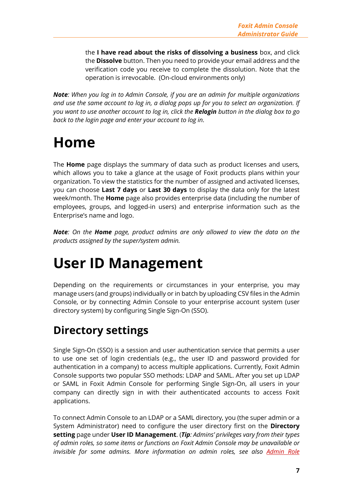the **I have read about the risks of dissolving a business** box, and click the **Dissolve** button. Then you need to provide your email address and the verification code you receive to complete the dissolution. Note that the operation is irrevocable. (On-cloud environments only)

*Note: When you log in to Admin Console, if you are an admin for multiple organizations and use the same account to log in, a dialog pops up for you to select an organization. If you want to use another account to log in, click the Relogin button in the dialog box to go back to the login page and enter your account to log in.* 

# <span id="page-6-0"></span>**Home**

The **Home** page displays the summary of data such as product licenses and users, which allows you to take a glance at the usage of Foxit products plans within your organization. To view the statistics for the number of assigned and activated licenses, you can choose **Last 7 days** or **Last 30 days** to display the data only for the latest week/month. The **Home** page also provides enterprise data (including the number of employees, groups, and logged-in users) and enterprise information such as the Enterprise's name and logo.

*Note: On the Home page, product admins are only allowed to view the data on the products assigned by the super/system admin.* 

# <span id="page-6-1"></span>**User ID Management**

Depending on the requirements or circumstances in your enterprise, you may manage users (and groups) individually or in batch by uploading CSV files in the Admin Console, or by connecting Admin Console to your enterprise account system (user directory system) by configuring Single Sign-On (SSO).

# <span id="page-6-2"></span>**Directory settings**

Single Sign-On (SSO) is a session and user authentication service that permits a user to use one set of login credentials (e.g., the user ID and password provided for authentication in a company) to access multiple applications. Currently, Foxit Admin Console supports two popular SSO methods: LDAP and SAML. After you set up LDAP or SAML in Foxit Admin Console for performing Single Sign-On, all users in your company can directly sign in with their authenticated accounts to access Foxit applications.

To connect Admin Console to an LDAP or a SAML directory, you (the super admin or a System Administrator) need to configure the user directory first on the **Directory setting** page under **User ID Management**. (*Tip: Admins' privileges vary from their types of admin roles, so some items or functions on Foxit Admin Console may be unavailable or invisible for some admins. More information on admin roles, see also [Admin Role](#page-17-0)*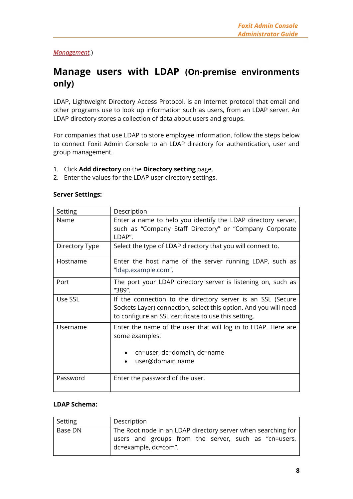#### *[Management.](#page-17-0)*)

### **Manage users with LDAP (On-premise environments only)**

LDAP, Lightweight Directory Access Protocol, is an Internet protocol that email and other programs use to look up information such as users, from an LDAP server. An LDAP directory stores a collection of data about users and groups.

For companies that use LDAP to store employee information, follow the steps below to connect Foxit Admin Console to an LDAP directory for authentication, user and group management.

- 1. Click **Add directory** on the **Directory setting** page.
- 2. Enter the values for the LDAP user directory settings.

|  | <b>Server Settings:</b> |
|--|-------------------------|
|--|-------------------------|

| Setting        | Description                                                                                                                                                                             |
|----------------|-----------------------------------------------------------------------------------------------------------------------------------------------------------------------------------------|
| Name           | Enter a name to help you identify the LDAP directory server,<br>such as "Company Staff Directory" or "Company Corporate<br>LDAP".                                                       |
| Directory Type | Select the type of LDAP directory that you will connect to.                                                                                                                             |
| Hostname       | Enter the host name of the server running LDAP, such as<br>"Idap.example.com".                                                                                                          |
| Port           | The port your LDAP directory server is listening on, such as<br>"389".                                                                                                                  |
| Use SSL        | If the connection to the directory server is an SSL (Secure<br>Sockets Layer) connection, select this option. And you will need<br>to configure an SSL certificate to use this setting. |
| Username       | Enter the name of the user that will log in to LDAP. Here are<br>some examples:<br>cn=user, dc=domain, dc=name                                                                          |
|                | user@domain name                                                                                                                                                                        |
| Password       | Enter the password of the user.                                                                                                                                                         |

#### **LDAP Schema:**

| Setting | Description                                                  |
|---------|--------------------------------------------------------------|
| Base DN | The Root node in an LDAP directory server when searching for |
|         | users and groups from the server, such as "cn=users,         |
|         | dc=example, dc=com".                                         |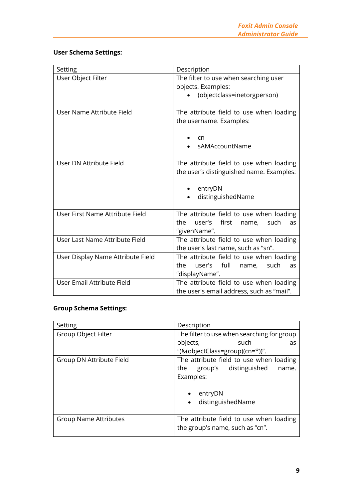### **User Schema Settings:**

| Setting                           | Description                                    |
|-----------------------------------|------------------------------------------------|
| User Object Filter                | The filter to use when searching user          |
|                                   | objects. Examples:                             |
|                                   | (objectclass=inetorgperson)                    |
|                                   |                                                |
| User Name Attribute Field         | The attribute field to use when loading        |
|                                   | the username. Examples:                        |
|                                   |                                                |
|                                   | cn                                             |
|                                   | sAMAccountName                                 |
|                                   |                                                |
| User DN Attribute Field           | The attribute field to use when loading        |
|                                   | the user's distinguished name. Examples:       |
|                                   |                                                |
|                                   | entryDN                                        |
|                                   | distinguishedName                              |
|                                   |                                                |
| User First Name Attribute Field   | The attribute field to use when loading        |
|                                   | user's<br>first<br>the.<br>name,<br>such<br>as |
|                                   | "givenName".                                   |
| User Last Name Attribute Field    | The attribute field to use when loading        |
|                                   | the user's last name, such as "sn".            |
| User Display Name Attribute Field | The attribute field to use when loading        |
|                                   | user's full<br>such<br>the<br>name,<br>as      |
|                                   | "displayName".                                 |
| User Email Attribute Field        | The attribute field to use when loading        |
|                                   | the user's email address, such as "mail".      |

#### **Group Schema Settings:**

| Setting                      | Description                                |  |
|------------------------------|--------------------------------------------|--|
| Group Object Filter          | The filter to use when searching for group |  |
|                              | objects,<br>such<br>as                     |  |
|                              | "(&(objectClass=group)(cn=*))".            |  |
| Group DN Attribute Field     | The attribute field to use when loading    |  |
|                              | group's distinguished<br>the<br>name.      |  |
|                              | Examples:                                  |  |
|                              |                                            |  |
|                              | entryDN                                    |  |
|                              | distinguishedName                          |  |
|                              |                                            |  |
| <b>Group Name Attributes</b> | The attribute field to use when loading    |  |
|                              | the group's name, such as "cn".            |  |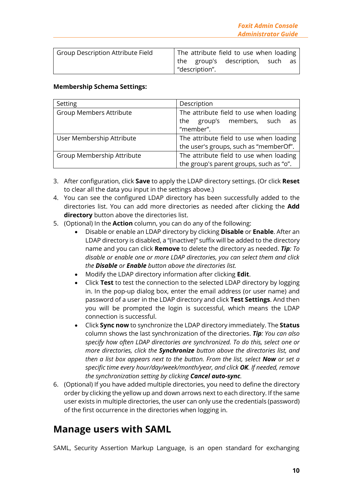| Group Description Attribute Field |               | The attribute field to use when loading |      |
|-----------------------------------|---------------|-----------------------------------------|------|
|                                   |               | the group's description, such           | as - |
|                                   | description". |                                         |      |

#### **Membership Schema Settings:**

| Setting                        | Description                             |  |
|--------------------------------|-----------------------------------------|--|
| <b>Group Members Attribute</b> | The attribute field to use when loading |  |
|                                | the group's members, such as            |  |
|                                | "member".                               |  |
| User Membership Attribute      | The attribute field to use when loading |  |
|                                | the user's groups, such as "memberOf".  |  |
| Group Membership Attribute     | The attribute field to use when loading |  |
|                                | the group's parent groups, such as "o". |  |

- 3. After configuration, click **Save** to apply the LDAP directory settings. (Or click **Reset** to clear all the data you input in the settings above.)
- 4. You can see the configured LDAP directory has been successfully added to the directories list. You can add more directories as needed after clicking the **Add directory** button above the directories list.
- 5. (Optional) In the **Action** column, you can do any of the following:
	- Disable or enable an LDAP directory by clicking **Disable** or **Enable**. After an LDAP directory is disabled, a "(inactive)" suffix will be added to the directory name and you can click **Remove** to delete the directory as needed. *Tip: To disable or enable one or more LDAP directories, you can select them and click the Disable or Enable button above the directories list.*
	- Modify the LDAP directory information after clicking **Edit**.
	- Click **Test** to test the connection to the selected LDAP directory by logging in. In the pop-up dialog box, enter the email address (or user name) and password of a user in the LDAP directory and click **Test Settings**. And then you will be prompted the login is successful, which means the LDAP connection is successful.
	- Click **Sync now** to synchronize the LDAP directory immediately. The **Status** column shows the last synchronization of the directories. *Tip: You can also specify how often LDAP directories are synchronized. To do this, select one or more directories, click the Synchronize button above the directories list, and then a list box appears next to the button. From the list, select Now or set a specific time every hour/day/week/month/year, and click OK. If needed, remove the synchronization setting by clicking Cancel auto-sync.*
- 6. (Optional) If you have added multiple directories, you need to define the directory order by clicking the yellow up and down arrows next to each directory. If the same user exists in multiple directories, the user can only use the credentials (password) of the first occurrence in the directories when logging in.

### **Manage users with SAML**

SAML, Security Assertion Markup Language, is an open standard for exchanging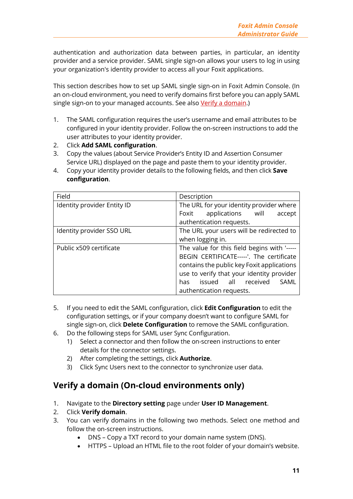authentication and authorization data between parties, in particular, an identity provider and a service provider. SAML single sign-on allows your users to log in using your organization's identity provider to access all your Foxit applications.

This section describes how to set up SAML single sign-on in Foxit Admin Console. (In an on-cloud environment, you need to verify domains first before you can apply SAML single sign-on to your managed accounts. See also [Verify a domain.](#page-10-0))

- 1. The SAML configuration requires the user's username and email attributes to be configured in your identity provider. Follow the on-screen instructions to add the user attributes to your identity provider.
- 2. Click **Add SAML configuration**.
- 3. Copy the values (about Service Provider's Entity ID and Assertion Consumer Service URL) displayed on the page and paste them to your identity provider.
- 4. Copy your identity provider details to the following fields, and then click **Save configuration**.

| Field                       | Description                                 |
|-----------------------------|---------------------------------------------|
| Identity provider Entity ID | The URL for your identity provider where    |
|                             | Foxit applications will<br>accept           |
|                             | authentication requests.                    |
| Identity provider SSO URL   | The URL your users will be redirected to    |
|                             | when logging in.                            |
| Public x509 certificate     | The value for this field begins with '----- |
|                             | BEGIN CERTIFICATE-----'. The certificate    |
|                             | contains the public key Foxit applications  |
|                             | use to verify that your identity provider   |
|                             | issued all received<br>SAML<br>has.         |
|                             | authentication requests.                    |

- 5. If you need to edit the SAML configuration, click **Edit Configuration** to edit the configuration settings, or if your company doesn't want to configure SAML for single sign-on, click **Delete Configuration** to remove the SAML configuration.
- 6. Do the following steps for SAML user Sync Configuration.
	- 1) Select a connector and then follow the on-screen instructions to enter details for the connector settings.
	- 2) After completing the settings, click **Authorize**.
	- 3) Click Sync Users next to the connector to synchronize user data.

### <span id="page-10-0"></span>**Verify a domain (On-cloud environments only)**

- 1. Navigate to the **Directory setting** page under **User ID Management**.
- 2. Click **Verify domain**.
- 3. You can verify domains in the following two methods. Select one method and follow the on-screen instructions.
	- DNS Copy a TXT record to your domain name system (DNS).
	- HTTPS Upload an HTML file to the root folder of your domain's website.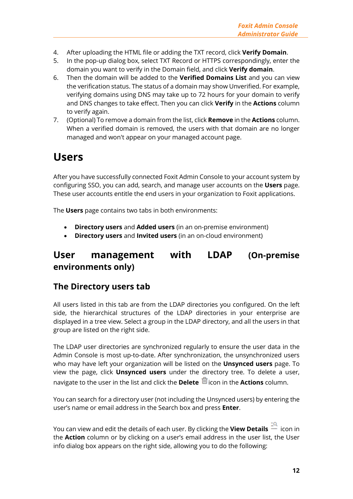- 4. After uploading the HTML file or adding the TXT record, click **Verify Domain**.
- 5. In the pop-up dialog box, select TXT Record or HTTPS correspondingly, enter the domain you want to verify in the Domain field, and click **Verify domain**.
- 6. Then the domain will be added to the **Verified Domains List** and you can view the verification status. The status of a domain may show Unverified. For example, verifying domains using DNS may take up to 72 hours for your domain to verify and DNS changes to take effect. Then you can click **Verify** in the **Actions** column to verify again.
- 7. (Optional) To remove a domain from the list, click **Remove** in the **Actions** column. When a verified domain is removed, the users with that domain are no longer managed and won't appear on your managed account page.

## <span id="page-11-0"></span>**Users**

After you have successfully connected Foxit Admin Console to your account system by configuring SSO, you can add, search, and manage user accounts on the **Users** page. These user accounts entitle the end users in your organization to Foxit applications.

The **Users** page contains two tabs in both environments:

- **Directory users** and **Added users** (in an on-premise environment)
- **Directory users** and **Invited users** (in an on-cloud environment)

## **User management with LDAP (On-premise environments only)**

### **The Directory users tab**

All users listed in this tab are from the LDAP directories you configured. On the left side, the hierarchical structures of the LDAP directories in your enterprise are displayed in a tree view. Select a group in the LDAP directory, and all the users in that group are listed on the right side.

The LDAP user directories are synchronized regularly to ensure the user data in the Admin Console is most up-to-date. After synchronization, the unsynchronized users who may have left your organization will be listed on the **Unsynced users** page. To view the page, click **Unsynced users** under the directory tree. To delete a user, navigate to the user in the list and click the **Delete** icon in the **Actions** column.

You can search for a directory user (not including the Unsynced users) by entering the user's name or email address in the Search box and press **Enter**.

You can view and edit the details of each user. By clicking the **View Details** icon in the **Action** column or by clicking on a user's email address in the user list, the User info dialog box appears on the right side, allowing you to do the following: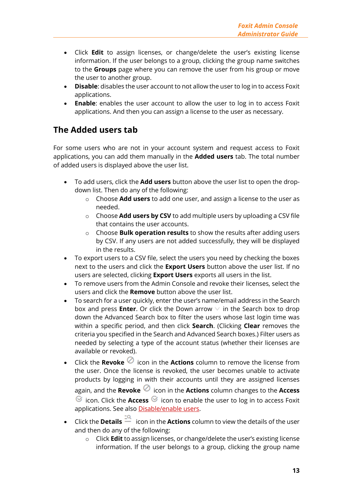- Click **Edit** to assign licenses, or change/delete the user's existing license information. If the user belongs to a group, clicking the group name switches to the **Groups** page where you can remove the user from his group or move the user to another group.
- <span id="page-12-0"></span>• **Disable**: disables the user account to not allow the user to log in to access Foxit applications.
- **Enable:** enables the user account to allow the user to log in to access Foxit applications. And then you can assign a license to the user as necessary.

### <span id="page-12-2"></span>**The Added users tab**

For some users who are not in your account system and request access to Foxit applications, you can add them manually in the **Added users** tab. The total number of added users is displayed above the user list.

- To add users, click the **Add users** button above the user list to open the dropdown list. Then do any of the following:
	- o Choose **Add users** to add one user, and assign a license to the user as needed.
	- o Choose **Add users by CSV** to add multiple users by uploading a CSV file that contains the user accounts.
	- o Choose **Bulk operation results** to show the results after adding users by CSV. If any users are not added successfully, they will be displayed in the results.
- To export users to a CSV file, select the users you need by checking the boxes next to the users and click the **Export Users** button above the user list. If no users are selected, clicking **Export Users** exports all users in the list.
- To remove users from the Admin Console and revoke their licenses, select the users and click the **Remove** button above the user list.
- <span id="page-12-1"></span>• To search for a user quickly, enter the user's name/email address in the Search box and press **Enter**. Or click the Down arrow  $\vee$  in the Search box to drop down the Advanced Search box to filter the users whose last login time was within a specific period, and then click **Search**. (Clicking **Clear** removes the criteria you specified in the Search and Advanced Search boxes.) Filter users as needed by selecting a type of the account status (whether their licenses are available or revoked).
- Click the **Revoke**  $\oslash$  icon in the **Actions** column to remove the license from the user. Once the license is revoked, the user becomes unable to activate products by logging in with their accounts until they are assigned licenses again, and the **Revoke**  $\oslash$  icon in the **Actions** column changes to the **Access**  $\heartsuit$  icon. Click the **Access**  $\heartsuit$  icon to enable the user to log in to access Foxit applications. See also [Disable/enable users.](#page-12-0)
- Click the **Details** icon in the **Actions** column to view the details of the user and then do any of the following:
	- o Click **Edit** to assign licenses, or change/delete the user's existing license information. If the user belongs to a group, clicking the group name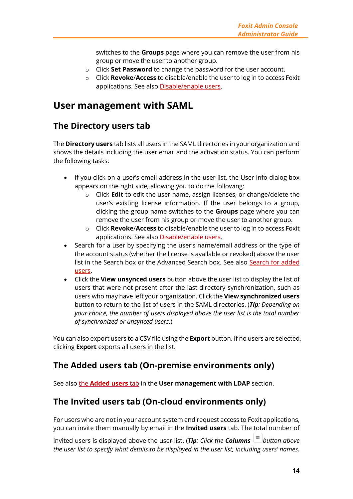switches to the **Groups** page where you can remove the user from his group or move the user to another group.

- o Click **Set Password** to change the password for the user account.
- o Click **Revoke**/**Access** to disable/enable the user to log in to access Foxit applications. See also [Disable/enable users.](#page-12-0)

### **User management with SAML**

### **The Directory users tab**

The **Directory users** tab lists all users in the SAML directories in your organization and shows the details including the user email and the activation status. You can perform the following tasks:

- If you click on a user's email address in the user list, the User info dialog box appears on the right side, allowing you to do the following:
	- o Click **Edit** to edit the user name, assign licenses, or change/delete the user's existing license information. If the user belongs to a group, clicking the group name switches to the **Groups** page where you can remove the user from his group or move the user to another group.
	- o Click **Revoke**/**Access** to disable/enable the user to log in to access Foxit applications. See also [Disable/enable users.](#page-12-0)
- Search for a user by specifying the user's name/email address or the type of the account status (whether the license is available or revoked) above the user list in the Search box or the Advanced Search box. See also [Search for added](#page-12-1)  [users.](#page-12-1)
- Click the **View unsynced users** button above the user list to display the list of users that were not present after the last directory synchronization, such as users who may have left your organization. Click the **View synchronized users** button to return to the list of users in the SAML directories. (*Tip: Depending on your choice, the number of users displayed above the user list is the total number of synchronized or unsynced users.*)

You can also export users to a CSV file using the **Export** button. If no users are selected, clicking **Export** exports all users in the list.

### **The Added users tab (On-premise environments only)**

See also the **[Added](#page-12-2) users** tab in the **User management with LDAP** section.

### **The Invited users tab (On-cloud environments only)**

For users who are not in your account system and request access to Foxit applications, you can invite them manually by email in the **Invited users** tab. The total number of

invited users is displayed above the user list. (*Tip*: *Click the Columns*  $\left| \equiv \right|$  *button above the user list to specify what details to be displayed in the user list, including users' names,*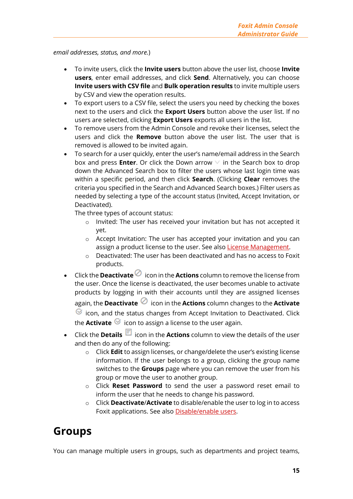#### *email addresses, status, and more.*)

- To invite users, click the **Invite users** button above the user list, choose **Invite users**, enter email addresses, and click **Send**. Alternatively, you can choose **Invite users with CSV file** and **Bulk operation results** to invite multiple users by CSV and view the operation results.
- To export users to a CSV file, select the users you need by checking the boxes next to the users and click the **Export Users** button above the user list. If no users are selected, clicking **Export Users** exports all users in the list.
- To remove users from the Admin Console and revoke their licenses, select the users and click the **Remove** button above the user list. The user that is removed is allowed to be invited again.
- To search for a user quickly, enter the user's name/email address in the Search box and press **Enter**. Or click the Down arrow  $\vee$  in the Search box to drop down the Advanced Search box to filter the users whose last login time was within a specific period, and then click **Search**. (Clicking **Clear** removes the criteria you specified in the Search and Advanced Search boxes.) Filter users as needed by selecting a type of the account status (Invited, Accept Invitation, or Deactivated).

The three types of account status:

- o Invited: The user has received your invitation but has not accepted it yet.
- o Accept Invitation: The user has accepted your invitation and you can assign a product license to the user. See also [License Management.](#page-21-0)
- o Deactivated: The user has been deactivated and has no access to Foxit products.
- $\frac{1}{\sqrt{1-\frac{1}{\sqrt{1-\frac{1}{\sqrt{1-\frac{1}{\sqrt{1-\frac{1}{\sqrt{1-\frac{1}{\sqrt{1-\frac{1}{\sqrt{1-\frac{1}{\sqrt{1-\frac{1}{\sqrt{1-\frac{1}{\sqrt{1-\frac{1}{\sqrt{1-\frac{1}{\sqrt{1-\frac{1}{\sqrt{1-\frac{1}{\sqrt{1-\frac{1}{\sqrt{1-\frac{1}{\sqrt{1-\frac{1}{\sqrt{1-\frac{1}{\sqrt{1-\frac{1}{\sqrt{1-\frac{1}{\sqrt{1-\frac{1}{\sqrt{1-\frac{1}{\sqrt{1-\frac{1}{\sqrt{1-\frac{1}{\sqrt{1-\frac{1$ the user. Once the license is deactivated, the user becomes unable to activate products by logging in with their accounts until they are assigned licenses again, the **Deactivate**  $\oslash$  icon in the **Actions** column changes to the **Activate**  $\heartsuit$  icon, and the status changes from Accept Invitation to Deactivated. Click the **Activate**  $\mathcal{G}$  icon to assign a license to the user again.
- Click the **Details** icon in the **Actions** column to view the details of the user and then do any of the following:
	- o Click **Edit** to assign licenses, or change/delete the user's existing license information. If the user belongs to a group, clicking the group name switches to the **Groups** page where you can remove the user from his group or move the user to another group.
	- o Click **Reset Password** to send the user a password reset email to inform the user that he needs to change his password.
	- o Click **Deactivate**/**Activate** to disable/enable the user to log in to access Foxit applications. See also **Disable/enable users.**

## <span id="page-14-0"></span>**Groups**

You can manage multiple users in groups, such as departments and project teams,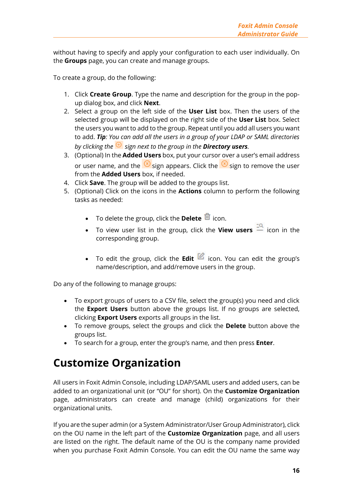without having to specify and apply your configuration to each user individually. On the **Groups** page, you can create and manage groups.

To create a group, do the following:

- 1. Click **Create Group**. Type the name and description for the group in the popup dialog box, and click **Next**.
- 2. Select a group on the left side of the **User List** box. Then the users of the selected group will be displayed on the right side of the **User List** box. Select the users you want to add to the group. Repeat until you add all users you want to add. *Tip: You can add all the users in a group of your LDAP or SAML directories by clicking the*  $\Theta$  *sign next to the group in the Directory users.*
- 3. (Optional) In the **Added Users** box, put your cursor over a user's email address or user name, and the  $\circledast$  sign appears. Click the  $\circledast$  sign to remove the user from the **Added Users** box, if needed.
- 4. Click **Save**. The group will be added to the groups list.
- 5. (Optional) Click on the icons in the **Actions** column to perform the following tasks as needed:
	- To delete the group, click the **Delete**  $\overline{\mathbf{u}}$  icon.
	- To view user list in the group, click the **View users**  $\frac{1}{n}$  icon in the corresponding group.
	- To edit the group, click the **Edit** icon. You can edit the group's name/description, and add/remove users in the group.

Do any of the following to manage groups:

- To export groups of users to a CSV file, select the group(s) you need and click the **Export Users** button above the groups list. If no groups are selected, clicking **Export Users** exports all groups in the list.
- To remove groups, select the groups and click the **Delete** button above the groups list.
- To search for a group, enter the group's name, and then press **Enter**.

## <span id="page-15-0"></span>**Customize Organization**

All users in Foxit Admin Console, including LDAP/SAML users and added users, can be added to an organizational unit (or "OU" for short). On the **Customize Organization** page, administrators can create and manage (child) organizations for their organizational units.

If you are the super admin (or a System Administrator/User Group Administrator), click on the OU name in the left part of the **Customize Organization** page, and all users are listed on the right. The default name of the OU is the company name provided when you purchase Foxit Admin Console. You can edit the OU name the same way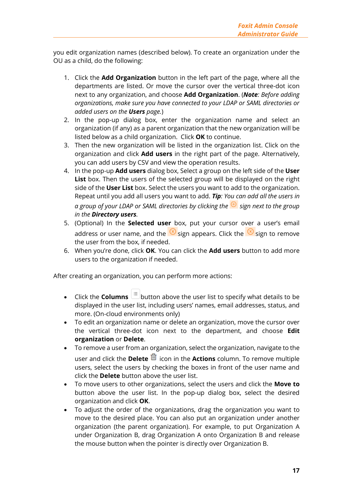you edit organization names (described below). To create an organization under the OU as a child, do the following:

- 1. Click the **Add Organization** button in the left part of the page, where all the departments are listed. Or move the cursor over the vertical three-dot icon next to any organization, and choose **Add Organization**. (*Note: Before adding organizations, make sure you have connected to your LDAP or SAML directories or added users on the Users page.*)
- 2. In the pop-up dialog box, enter the organization name and select an organization (if any) as a parent organization that the new organization will be listed below as a child organization. Click **OK** to continue.
- 3. Then the new organization will be listed in the organization list. Click on the organization and click **Add users** in the right part of the page. Alternatively, you can add users by CSV and view the operation results.
- 4. In the pop-up **Add users** dialog box, Select a group on the left side of the **User List** box. Then the users of the selected group will be displayed on the right side of the **User List** box. Select the users you want to add to the organization. Repeat until you add all users you want to add. *Tip: You can add all the users in a group of your LDAP or SAML directories by clicking the sign next to the group in the Directory users.*
- 5. (Optional) In the **Selected user** box, put your cursor over a user's email address or user name, and the  $\circledast$  sign appears. Click the  $\circledast$  sign to remove the user from the box, if needed.
- 6. When you're done, click **OK**. You can click the **Add users** button to add more users to the organization if needed.

After creating an organization, you can perform more actions:

- Click the **Columns**  $\equiv$  button above the user list to specify what details to be displayed in the user list, including users' names, email addresses, status, and more. (On-cloud environments only)
- To edit an organization name or delete an organization, move the cursor over the vertical three-dot icon next to the department, and choose **Edit organization** or **Delete**.
- To remove a user from an organization, select the organization, navigate to the user and click the **Delete**  $\overline{u}$  icon in the **Actions** column. To remove multiple users, select the users by checking the boxes in front of the user name and click the **Delete** button above the user list.
- To move users to other organizations, select the users and click the **Move to** button above the user list. In the pop-up dialog box, select the desired organization and click **OK**.
- To adjust the order of the organizations, drag the organization you want to move to the desired place. You can also put an organization under another organization (the parent organization). For example, to put Organization A under Organization B, drag Organization A onto Organization B and release the mouse button when the pointer is directly over Organization B.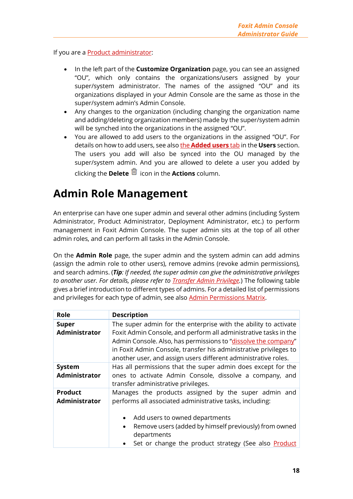If you are a **Product administrator:** 

- In the left part of the **Customize Organization** page, you can see an assigned "OU", which only contains the organizations/users assigned by your super/system administrator. The names of the assigned "OU" and its organizations displayed in your Admin Console are the same as those in the super/system admin's Admin Console.
- Any changes to the organization (including changing the organization name and adding/deleting organization members) made by the super/system admin will be synched into the organizations in the assigned "OU".
- You are allowed to add users to the organizations in the assigned "OU". For details on how to add users, see also the **[Added users](#page-12-2)** tab in the **Users** section. The users you add will also be synced into the OU managed by the super/system admin. And you are allowed to delete a user you added by clicking the **Delete** icon in the **Actions** column.

## <span id="page-17-0"></span>**Admin Role Management**

An enterprise can have one super admin and several other admins (including System Administrator, Product Administrator, Deployment Administrator, etc.) to perform management in Foxit Admin Console. The super admin sits at the top of all other admin roles, and can perform all tasks in the Admin Console.

On the **Admin Role** page, the super admin and the system admin can add admins (assign the admin role to other users), remove admins (revoke admin permissions), and search admins. (*Tip: If needed, the super admin can give the administrative privileges to another user. For details, please refer to [Transfer Admin Privilege.](#page-5-0)*) The following table gives a brief introduction to different types of admins. For a detailed list of permissions and privileges for each type of admin, see als[o Admin Permissions Matrix.](#page-19-0)

<span id="page-17-2"></span><span id="page-17-1"></span>

| <b>Role</b>                            | <b>Description</b>                                                                                                                                                                                                                                                                                                                           |
|----------------------------------------|----------------------------------------------------------------------------------------------------------------------------------------------------------------------------------------------------------------------------------------------------------------------------------------------------------------------------------------------|
| <b>Super</b><br><b>Administrator</b>   | The super admin for the enterprise with the ability to activate<br>Foxit Admin Console, and perform all administrative tasks in the<br>Admin Console. Also, has permissions to "dissolve the company"<br>in Foxit Admin Console, transfer his administrative privileges to<br>another user, and assign users different administrative roles. |
| System<br><b>Administrator</b>         | Has all permissions that the super admin does except for the<br>ones to activate Admin Console, dissolve a company, and<br>transfer administrative privileges.                                                                                                                                                                               |
| <b>Product</b><br><b>Administrator</b> | Manages the products assigned by the super admin and<br>performs all associated administrative tasks, including:<br>Add users to owned departments<br>$\bullet$<br>Remove users (added by himself previously) from owned<br>$\bullet$<br>departments<br>Set or change the product strategy (See also Product                                 |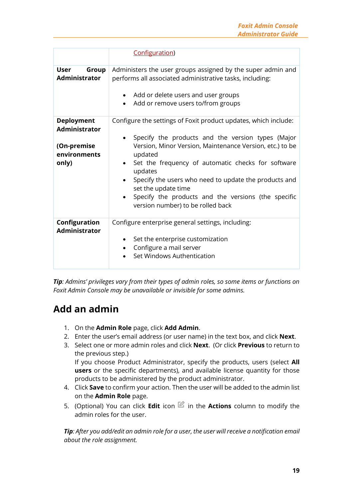|                                                                                   | Configuration)                                                                                                                                                                                                                                                                                                                                                                                                                           |
|-----------------------------------------------------------------------------------|------------------------------------------------------------------------------------------------------------------------------------------------------------------------------------------------------------------------------------------------------------------------------------------------------------------------------------------------------------------------------------------------------------------------------------------|
| <b>User</b><br>Group<br><b>Administrator</b>                                      | Administers the user groups assigned by the super admin and<br>performs all associated administrative tasks, including:<br>Add or delete users and user groups<br>Add or remove users to/from groups                                                                                                                                                                                                                                     |
| <b>Deployment</b><br><b>Administrator</b><br>(On-premise<br>environments<br>only) | Configure the settings of Foxit product updates, which include:<br>Specify the products and the version types (Major<br>Version, Minor Version, Maintenance Version, etc.) to be<br>updated<br>Set the frequency of automatic checks for software<br>updates<br>Specify the users who need to update the products and<br>set the update time<br>Specify the products and the versions (the specific<br>version number) to be rolled back |
| Configuration<br><b>Administrator</b>                                             | Configure enterprise general settings, including:<br>Set the enterprise customization<br>$\bullet$<br>Configure a mail server<br>Set Windows Authentication                                                                                                                                                                                                                                                                              |

*Tip: Admins' privileges vary from their types of admin roles, so some items or functions on Foxit Admin Console may be unavailable or invisible for some admins.* 

## **Add an admin**

- 1. On the **Admin Role** page, click **Add Admin**.
- 2. Enter the user's email address (or user name) in the text box, and click **Next**.
- 3. Select one or more admin roles and click **Next**. (Or click **Previous** to return to the previous step.) If you choose Product Administrator, specify the products, users (select **All users** or the specific departments), and available license quantity for those products to be administered by the product administrator.
- 4. Click **Save** to confirm your action. Then the user will be added to the admin list on the **Admin Role** page.
- 5. (Optional) You can click **Edit** icon in the **Actions** column to modify the admin roles for the user.

*Tip: After you add/edit an admin role for a user, the user will receive a notification email about the role assignment.*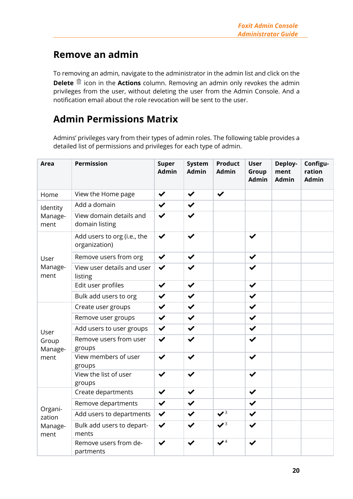## **Remove an admin**

To removing an admin, navigate to the administrator in the admin list and click on the **Delete**  $\frac{1}{m}$  icon in the **Actions** column. Removing an admin only revokes the admin privileges from the user, without deleting the user from the Admin Console. And a notification email about the role revocation will be sent to the user.

## <span id="page-19-0"></span>**Admin Permissions Matrix**

Admins' privileges vary from their types of admin roles. The following table provides a detailed list of permissions and privileges for each type of admin.

| <b>Area</b>                          | <b>Permission</b>                            | <b>Super</b><br><b>Admin</b> | System<br><b>Admin</b> | <b>Product</b><br><b>Admin</b> | <b>User</b><br>Group<br><b>Admin</b> | Deploy-<br>ment<br><b>Admin</b> | Configu-<br>ration<br><b>Admin</b> |
|--------------------------------------|----------------------------------------------|------------------------------|------------------------|--------------------------------|--------------------------------------|---------------------------------|------------------------------------|
| Home                                 | View the Home page                           | $\checkmark$                 | $\checkmark$           | $\checkmark$                   |                                      |                                 |                                    |
| Identity<br>Manage-<br>ment          | Add a domain                                 | $\checkmark$                 | $\checkmark$           |                                |                                      |                                 |                                    |
|                                      | View domain details and<br>domain listing    | $\checkmark$                 | $\checkmark$           |                                |                                      |                                 |                                    |
| User<br>Manage-<br>ment              | Add users to org (i.e., the<br>organization) | $\checkmark$                 |                        |                                | ✔                                    |                                 |                                    |
|                                      | Remove users from org                        | $\checkmark$                 | $\checkmark$           |                                | ✔                                    |                                 |                                    |
|                                      | View user details and user<br>listing        | $\checkmark$                 |                        |                                |                                      |                                 |                                    |
|                                      | Edit user profiles                           | $\checkmark$                 | $\checkmark$           |                                | $\checkmark$                         |                                 |                                    |
|                                      | Bulk add users to org                        | $\checkmark$                 | $\checkmark$           |                                | $\checkmark$                         |                                 |                                    |
|                                      | Create user groups                           | $\checkmark$                 | $\checkmark$           |                                | $\checkmark$                         |                                 |                                    |
|                                      | Remove user groups                           | $\checkmark$                 | $\checkmark$           |                                | $\blacktriangledown$                 |                                 |                                    |
| User                                 | Add users to user groups                     | $\checkmark$                 | $\checkmark$           |                                | $\checkmark$                         |                                 |                                    |
| Group<br>Manage-<br>ment             | Remove users from user<br>groups             | $\checkmark$                 |                        |                                | $\checkmark$                         |                                 |                                    |
|                                      | View members of user<br>groups               | $\checkmark$                 | ✔                      |                                | $\checkmark$                         |                                 |                                    |
|                                      | View the list of user<br>groups              | $\checkmark$                 | ✔                      |                                | $\blacktriangledown$                 |                                 |                                    |
| Organi-<br>zation<br>Manage-<br>ment | Create departments                           | $\checkmark$                 | $\checkmark$           |                                | ✔                                    |                                 |                                    |
|                                      | Remove departments                           | $\checkmark$                 | $\checkmark$           |                                | $\checkmark$                         |                                 |                                    |
|                                      | Add users to departments                     | $\checkmark$                 | $\checkmark$           | $\mathbf{v}^3$                 | ✔                                    |                                 |                                    |
|                                      | Bulk add users to depart-<br>ments           | ✔                            |                        | $\mathcal{V}^3$                |                                      |                                 |                                    |
|                                      | Remove users from de-<br>partments           |                              |                        | $\mathbf{V}^4$                 |                                      |                                 |                                    |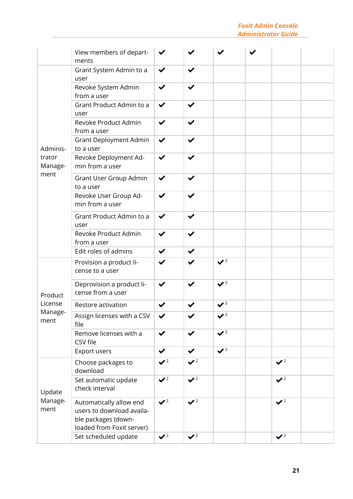#### *Foxit Admin Console Administrator Guide*

|                                       | View members of depart-<br>ments                                                                         |                |                |                |                |  |
|---------------------------------------|----------------------------------------------------------------------------------------------------------|----------------|----------------|----------------|----------------|--|
| Adminis-<br>trator<br>Manage-<br>ment | Grant System Admin to a<br>user                                                                          | $\checkmark$   |                |                |                |  |
|                                       | Revoke System Admin<br>from a user                                                                       | ✔              | $\checkmark$   |                |                |  |
|                                       | Grant Product Admin to a<br>user                                                                         | $\checkmark$   |                |                |                |  |
|                                       | Revoke Product Admin<br>from a user                                                                      | ✔              |                |                |                |  |
|                                       | Grant Deployment Admin<br>to a user                                                                      | $\checkmark$   |                |                |                |  |
|                                       | Revoke Deployment Ad-<br>min from a user                                                                 | ✔              |                |                |                |  |
|                                       | Grant User Group Admin<br>to a user                                                                      | ✔              |                |                |                |  |
|                                       | Revoke User Group Ad-<br>min from a user                                                                 | ✔              |                |                |                |  |
|                                       | Grant Product Admin to a<br>user                                                                         | ✔              |                |                |                |  |
|                                       | Revoke Product Admin<br>from a user                                                                      | ✔              |                |                |                |  |
|                                       | Edit roles of admins                                                                                     | $\checkmark$   |                |                |                |  |
| Product<br>License<br>Manage-<br>ment | Provision a product li-<br>cense to a user                                                               | ✔              |                | $\mathbf{v}^3$ |                |  |
|                                       | Deprovision a product li-<br>cense from a user                                                           | $\checkmark$   |                | $\mathbf{v}^3$ |                |  |
|                                       | Restore activation                                                                                       | ✔              |                | $\mathbf{V}^3$ |                |  |
|                                       | Assign licenses with a CSV<br>file                                                                       | ✔              |                | $\mathbf{v}^3$ |                |  |
|                                       | Remove licenses with a<br>CSV file                                                                       | $\checkmark$   | ✔              | $\mathbf{v}^3$ |                |  |
|                                       | Export users                                                                                             | $\checkmark$   | $\checkmark$   | $\mathbf{v}^3$ |                |  |
| Update<br>Manage-<br>ment             | Choose packages to<br>download                                                                           | $\sqrt{2}$     | $\sqrt{2}$     |                | $\mathbf{v}^2$ |  |
|                                       | Set automatic update<br>check interval                                                                   | $\sqrt{2}$     | $\sqrt{2}$     |                | $\mathbf{v}^2$ |  |
|                                       | Automatically allow end<br>users to download availa-<br>ble packages (down-<br>loaded from Foxit server) | $\sqrt{2}$     | $\sqrt{2}$     |                | $\mathbf{v}^2$ |  |
|                                       | Set scheduled update                                                                                     | $\mathbf{V}^2$ | $\mathbf{v}^2$ |                | $\mathbf{v}^2$ |  |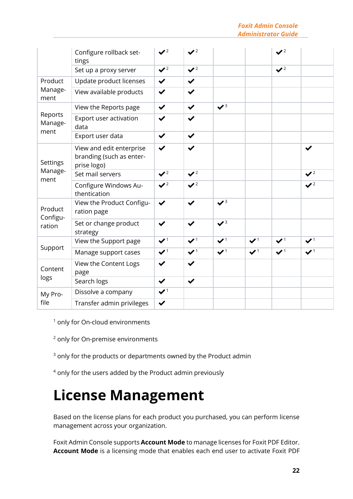*Foxit Admin Console Administrator Guide*

|                               | Configure rollback set-<br>tings                                    | $\mathbf{V}^2$                    | $\mathbf{V}^2$                |                               |                    | $\mathbf{v}^2$                |                               |
|-------------------------------|---------------------------------------------------------------------|-----------------------------------|-------------------------------|-------------------------------|--------------------|-------------------------------|-------------------------------|
|                               | Set up a proxy server                                               | $\mathbf{V}^2$                    | $\sqrt{2}$                    |                               |                    | $\mathbf{V}^2$                |                               |
| Product<br>Manage-<br>ment    | Update product licenses                                             | $\checkmark$                      | $\checkmark$                  |                               |                    |                               |                               |
|                               | View available products                                             | ✔                                 | ✔                             |                               |                    |                               |                               |
| Reports<br>Manage-<br>ment    | View the Reports page                                               | $\checkmark$                      | $\checkmark$                  | $\mathbf{v}^3$                |                    |                               |                               |
|                               | Export user activation<br>data                                      | $\checkmark$                      | $\checkmark$                  |                               |                    |                               |                               |
|                               | Export user data                                                    | $\checkmark$                      | $\checkmark$                  |                               |                    |                               |                               |
| Settings<br>Manage-<br>ment   | View and edit enterprise<br>branding (such as enter-<br>prise logo) | $\checkmark$                      | ✔                             |                               |                    |                               | ✔                             |
|                               | Set mail servers                                                    | $\mathbf{V}^2$                    | $\mathbf{V}^2$                |                               |                    |                               | $\mathbf{V}^2$                |
|                               | Configure Windows Au-<br>thentication                               | $\mathbf{V}^2$                    | $\mathbf{V}^2$                |                               |                    |                               | $\mathbf{v}^2$                |
| Product<br>Configu-<br>ration | View the Product Configu-<br>ration page                            | $\checkmark$                      | ✔                             | $\sqrt{3}$                    |                    |                               |                               |
|                               | Set or change product<br>strategy                                   | $\checkmark$                      | $\checkmark$                  | $\sqrt{3}$                    |                    |                               |                               |
| Support                       | View the Support page                                               | $\mathbf{v}^1$                    | $\boldsymbol{v}$ <sup>1</sup> | $\boldsymbol{v}$ <sup>1</sup> | $\boldsymbol{V}^1$ | $\boldsymbol{v}$ <sup>1</sup> | $\boldsymbol{v}$ <sup>1</sup> |
|                               | Manage support cases                                                | $\blacktriangledown$ <sup>1</sup> | $\mathbf{v}$ <sup>1</sup>     | $\mathbf{v}^1$                | $\boldsymbol{V}^1$ | $\mathbf{v}^1$                | $\boldsymbol{V}^1$            |
| Content<br>logs               | View the Content Logs<br>page                                       | ✔                                 | $\checkmark$                  |                               |                    |                               |                               |
|                               | Search logs                                                         | $\checkmark$                      | $\checkmark$                  |                               |                    |                               |                               |
| My Pro-<br>file               | Dissolve a company                                                  | $\boldsymbol{\checkmark}$         |                               |                               |                    |                               |                               |
|                               | Transfer admin privileges                                           | $\checkmark$                      |                               |                               |                    |                               |                               |

<sup>1</sup> only for On-cloud environments

<sup>2</sup> only for On-premise environments

 $3$  only for the products or departments owned by the Product admin

<sup>4</sup> only for the users added by the Product admin previously

# <span id="page-21-0"></span>**License Management**

Based on the license plans for each product you purchased, you can perform license management across your organization.

Foxit Admin Console supports **Account Mode** to manage licenses for Foxit PDF Editor. **Account Mode** is a licensing mode that enables each end user to activate Foxit PDF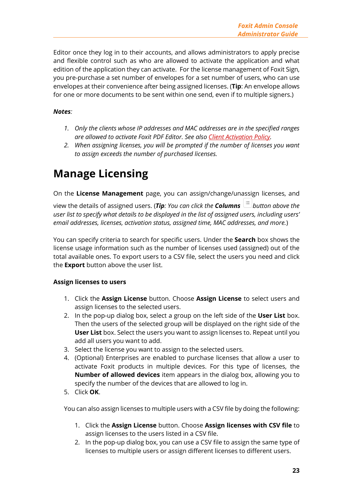Editor once they log in to their accounts, and allows administrators to apply precise and flexible control such as who are allowed to activate the application and what edition of the application they can activate. For the license management of Foxit Sign, you pre-purchase a set number of envelopes for a set number of users, who can use envelopes at their convenience after being assigned licenses. (**Tip**: An envelope allows for one or more documents to be sent within one send, even if to multiple signers.)

#### *Notes:*

- *1. Only the clients whose IP addresses and MAC addresses are in the specified ranges are allowed to activate Foxit PDF Editor. See also [Client Activation Policy.](#page-30-1)*
- *2. When assigning licenses, you will be prompted if the number of licenses you want to assign exceeds the number of purchased licenses.*

# <span id="page-22-0"></span>**Manage Licensing**

On the **License Management** page, you can assign/change/unassign licenses, and

view the details of assigned users. (*Tip*: You can click the **Columns**  $\frac{1}{n}$  button above the *user list to specify what details to be displayed in the list of assigned users, including users' email addresses, licenses, activation status, assigned time, MAC addresses, and more.*)

You can specify criteria to search for specific users. Under the **Search** box shows the license usage information such as the number of licenses used (assigned) out of the total available ones. To export users to a CSV file, select the users you need and click the **Export** button above the user list.

#### **Assign licenses to users**

- 1. Click the **Assign License** button. Choose **Assign License** to select users and assign licenses to the selected users.
- 2. In the pop-up dialog box, select a group on the left side of the **User List** box. Then the users of the selected group will be displayed on the right side of the **User List** box. Select the users you want to assign licenses to. Repeat until you add all users you want to add.
- 3. Select the license you want to assign to the selected users.
- 4. (Optional) Enterprises are enabled to purchase licenses that allow a user to activate Foxit products in multiple devices. For this type of licenses, the **Number of allowed devices** item appears in the dialog box, allowing you to specify the number of the devices that are allowed to log in.
- 5. Click **OK**.

You can also assign licenses to multiple users with a CSV file by doing the following:

- 1. Click the **Assign License** button. Choose **Assign licenses with CSV file** to assign licenses to the users listed in a CSV file.
- 2. In the pop-up dialog box, you can use a CSV file to assign the same type of licenses to multiple users or assign different licenses to different users.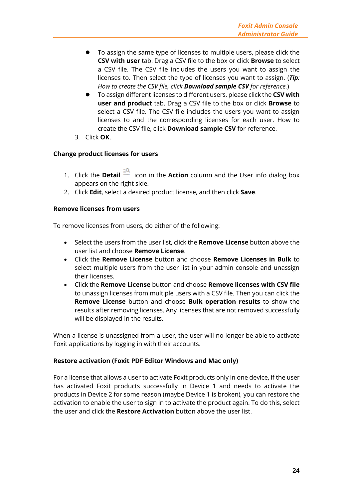- ⚫ To assign the same type of licenses to multiple users, please click the **CSV with user** tab. Drag a CSV file to the box or click **Browse** to select a CSV file. The CSV file includes the users you want to assign the licenses to. Then select the type of licenses you want to assign. (*Tip: How to create the CSV file, click Download sample CSV for reference.*)
- ⚫ To assign different licenses to different users, please click the **CSV with user and product** tab. Drag a CSV file to the box or click **Browse** to select a CSV file. The CSV file includes the users you want to assign licenses to and the corresponding licenses for each user. How to create the CSV file, click **Download sample CSV** for reference.
- 3. Click **OK**.

#### **Change product licenses for users**

- 1. Click the **Detail**  $\frac{a}{n}$  icon in the **Action** column and the User info dialog box appears on the right side.
- 2. Click **Edit**, select a desired product license, and then click **Save**.

#### **Remove licenses from users**

To remove licenses from users, do either of the following:

- Select the users from the user list, click the **Remove License** button above the user list and choose **Remove License**.
- Click the **Remove License** button and choose **Remove Licenses in Bulk** to select multiple users from the user list in your admin console and unassign their licenses.
- Click the **Remove License** button and choose **Remove licenses with CSV file** to unassign licenses from multiple users with a CSV file. Then you can click the **Remove License** button and choose **Bulk operation results** to show the results after removing licenses. Any licenses that are not removed successfully will be displayed in the results.

When a license is unassigned from a user, the user will no longer be able to activate Foxit applications by logging in with their accounts.

#### **Restore activation (Foxit PDF Editor Windows and Mac only)**

For a license that allows a user to activate Foxit products only in one device, if the user has activated Foxit products successfully in Device 1 and needs to activate the products in Device 2 for some reason (maybe Device 1 is broken), you can restore the activation to enable the user to sign in to activate the product again. To do this, select the user and click the **Restore Activation** button above the user list.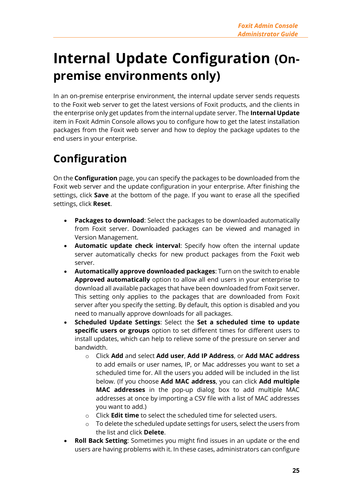# <span id="page-24-0"></span>**Internal Update Configuration (Onpremise environments only)**

In an on-premise enterprise environment, the internal update server sends requests to the Foxit web server to get the latest versions of Foxit products, and the clients in the enterprise only get updates from the internal update server. The **Internal Update**  item in Foxit Admin Console allows you to configure how to get the latest installation packages from the Foxit web server and how to deploy the package updates to the end users in your enterprise.

# <span id="page-24-1"></span>**Configuration**

On the **Configuration** page, you can specify the packages to be downloaded from the Foxit web server and the update configuration in your enterprise. After finishing the settings, click **Save** at the bottom of the page. If you want to erase all the specified settings, click **Reset**.

- **Packages to download**: Select the packages to be downloaded automatically from Foxit server. Downloaded packages can be viewed and managed in Version Management.
- **Automatic update check interval**: Specify how often the internal update server automatically checks for new product packages from the Foxit web server.
- **Automatically approve downloaded packages**: Turn on the switch to enable **Approved automatically** option to allow all end users in your enterprise to download all available packages that have been downloaded from Foxit server. This setting only applies to the packages that are downloaded from Foxit server after you specify the setting. By default, this option is disabled and you need to manually approve downloads for all packages.
- **Scheduled Update Settings**: Select the **Set a scheduled time to update specific users or groups** option to set different times for different users to install updates, which can help to relieve some of the pressure on server and bandwidth.
	- o Click **Add** and select **Add user**, **Add IP Address**, or **Add MAC address** to add emails or user names, IP, or Mac addresses you want to set a scheduled time for. All the users you added will be included in the list below. (If you choose **Add MAC address**, you can click **Add multiple MAC addresses** in the pop-up dialog box to add multiple MAC addresses at once by importing a CSV file with a list of MAC addresses you want to add.)
	- o Click **Edit time** to select the scheduled time for selected users.
	- o To delete the scheduled update settings for users, select the users from the list and click **Delete**.
- **Roll Back Setting**: Sometimes you might find issues in an update or the end users are having problems with it. In these cases, administrators can configure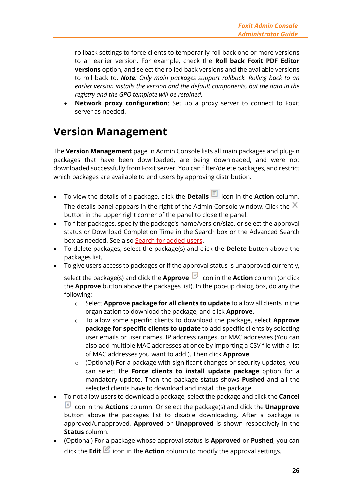rollback settings to force clients to temporarily roll back one or more versions to an earlier version. For example, check the **Roll back Foxit PDF Editor versions** option, and select the rolled back versions and the available versions to roll back to. *Note: Only main packages support rollback. Rolling back to an earlier version installs the version and the default components, but the data in the registry and the GPO template will be retained.*

• **Network proxy configuration**: Set up a proxy server to connect to Foxit server as needed.

# <span id="page-25-0"></span>**Version Management**

The **Version Management** page in Admin Console lists all main packages and plug-in packages that have been downloaded, are being downloaded, and were not downloaded successfully from Foxit server. You can filter/delete packages, and restrict which packages are available to end users by approving distribution.

- To view the details of a package, click the **Details** icon in the **Action** column. The details panel appears in the right of the Admin Console window. Click the  $\times$ button in the upper right corner of the panel to close the panel.
- To filter packages, specify the package's name/version/size, or select the approval status or Download Completion Time in the Search box or the Advanced Search box as needed. See also [Search for added users.](#page-12-1)
- To delete packages, select the package(s) and click the **Delete** button above the packages list.
- To give users access to packages or if the approval status is unapproved currently,

select the package(s) and click the **Approve ightarroopy** icon in the **Action** column (or click the **Approve** button above the packages list). In the pop-up dialog box, do any the following:

- o Select **Approve package for all clients to update** to allow all clients in the organization to download the package, and click **Approve**.
- o To allow some specific clients to download the package, select **Approve package for specific clients to update** to add specific clients by selecting user emails or user names, IP address ranges, or MAC addresses (You can also add multiple MAC addresses at once by importing a CSV file with a list of MAC addresses you want to add.). Then click **Approve**.
- o (Optional) For a package with significant changes or security updates, you can select the **Force clients to install update package** option for a mandatory update. Then the package status shows **Pushed** and all the selected clients have to download and install the package.
- To not allow users to download a package, select the package and click the **Cancel** icon in the **Actions** column. Or select the package(s) and click the **Unapprove** button above the packages list to disable downloading. After a package is approved/unapproved, **Approved** or **Unapproved** is shown respectively in the **Status** column.
- (Optional) For a package whose approval status is **Approved** or **Pushed**, you can click the **Edit** icon in the **Action** column to modify the approval settings.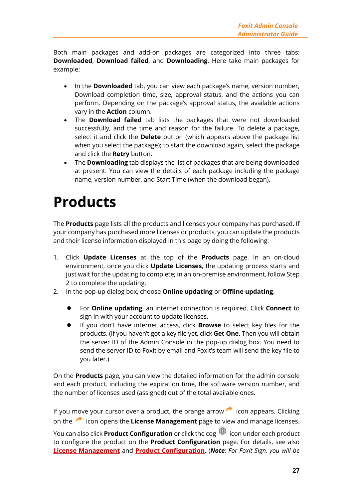Both main packages and add-on packages are categorized into three tabs: **Downloaded**, **Download failed**, and **Downloading**. Here take main packages for example:

- In the **Downloaded** tab, you can view each package's name, version number, Download completion time, size, approval status, and the actions you can perform. Depending on the package's approval status, the available actions vary in the **Action** column.
- The **Download failed** tab lists the packages that were not downloaded successfully, and the time and reason for the failure. To delete a package, select it and click the **Delete** button (which appears above the package list when you select the package); to start the download again, select the package and click the **Retry** button.
- The **Downloading** tab displays the list of packages that are being downloaded at present. You can view the details of each package including the package name, version number, and Start Time (when the download began).

# <span id="page-26-0"></span>**Products**

The **Products** page lists all the products and licenses your company has purchased. If your company has purchased more licenses or products, you can update the products and their license information displayed in this page by doing the following:

- 1. Click **Update Licenses** at the top of the **Products** page. In an on-cloud environment, once you click **Update Licenses**, the updating process starts and just wait for the updating to complete; in an on-premise environment, follow Step 2 to complete the updating.
- 2. In the pop-up dialog box, choose **Online updating** or **Offline updating**.
	- ⚫ For **Online updating**, an internet connection is required. Click **Connect** to sign in with your account to update licenses.
	- ⚫ If you don't have internet access, click **Browse** to select key files for the products. (If you haven't got a key file yet, click **Get One**. Then you will obtain the server ID of the Admin Console in the pop-up dialog box. You need to send the server ID to Foxit by email and Foxit's team will send the key file to you later.)

On the **Products** page, you can view the detailed information for the admin console and each product, including the expiration time, the software version number, and the number of licenses used (assigned) out of the total available ones.

If you move your cursor over a product, the orange arrow  $\sim$  icon appears. Clicking on the icon opens the **License Management** page to view and manage licenses. You can also click **Product Configuration** or click the cog **icon under each product** to configure the product on the **Product Configuration** page. For details, see also

**[License Management](#page-21-0)** and **[Product Configuration](#page-30-0)**. (*Note: For Foxit Sign, you will be*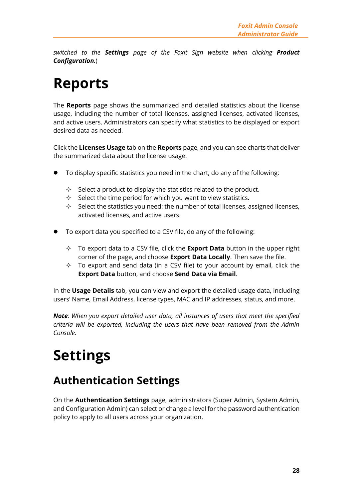*switched to the Settings page of the Foxit Sign website when clicking Product Configuration.*)

# <span id="page-27-0"></span>**Reports**

The **Reports** page shows the summarized and detailed statistics about the license usage, including the number of total licenses, assigned licenses, activated licenses, and active users. Administrators can specify what statistics to be displayed or export desired data as needed.

Click the **Licenses Usage** tab on the **Reports** page, and you can see charts that deliver the summarized data about the license usage.

- ⚫ To display specific statistics you need in the chart, do any of the following:
	- $\Diamond$  Select a product to display the statistics related to the product.
	- $\Diamond$  Select the time period for which you want to view statistics.
	- $\Diamond$  Select the statistics you need: the number of total licenses, assigned licenses, activated licenses, and active users.
- ⚫ To export data you specified to a CSV file, do any of the following:
	- To export data to a CSV file, click the **Export Data** button in the upper right corner of the page, and choose **Export Data Locally**. Then save the file.
	- $\Diamond$  To export and send data (in a CSV file) to your account by email, click the **Export Data** button, and choose **Send Data via Email**.

In the **Usage Details** tab, you can view and export the detailed usage data, including users' Name, Email Address, license types, MAC and IP addresses, status, and more.

*Note: When you export detailed user data, all instances of users that meet the specified criteria will be exported, including the users that have been removed from the Admin Console.* 

# <span id="page-27-1"></span>**Settings**

# <span id="page-27-2"></span>**Authentication Settings**

On the **Authentication Settings** page, administrators (Super Admin, System Admin, and Configuration Admin) can select or change a level for the password authentication policy to apply to all users across your organization.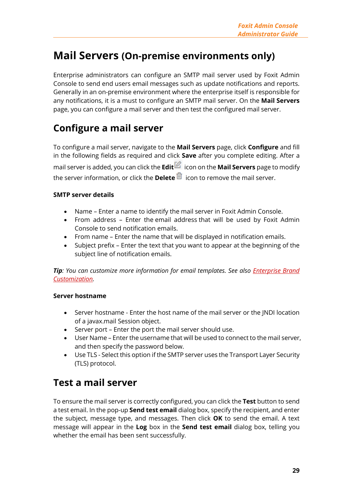## <span id="page-28-0"></span>**Mail Servers (On-premise environments only)**

Enterprise administrators can configure an SMTP mail server used by Foxit Admin Console to send end users email messages such as update notifications and reports. Generally in an on-premise environment where the enterprise itself is responsible for any notifications, it is a must to configure an SMTP mail server. On the **Mail Servers** page, you can configure a mail server and then test the configured mail server.

## **Configure a mail server**

To configure a mail server, navigate to the **Mail Servers** page, click **Configure** and fill in the following fields as required and click **Save** after you complete editing. After a mail server is added, you can click the **Edit** icon on the **Mail Servers** page to modify the server information, or click the **Delete ig** icon to remove the mail server.

#### **SMTP server details**

- Name Enter a name to identify the mail server in Foxit Admin Console.
- From address Enter the email address that will be used by Foxit Admin Console to send notification emails.
- From name Enter the name that will be displayed in notification emails.
- Subject prefix Enter the text that you want to appear at the beginning of the subject line of notification emails.

*Tip: You can customize more information for email templates. See also [Enterprise Brand](#page-29-0)  [Customization.](#page-29-0)*

#### **Server hostname**

- Server hostname Enter the host name of the mail server or the JNDI location of a javax.mail Session object.
- Server port Enter the port the mail server should use.
- User Name Enter the username that will be used to connect to the mail server, and then specify the password below.
- Use TLS Select this option if the SMTP server uses the Transport Layer Security (TLS) protocol.

### **Test a mail server**

To ensure the mail server is correctly configured, you can click the **Test** button to send a test email. In the pop-up **Send test email** dialog box, specify the recipient, and enter the subject, message type, and messages. Then click **OK** to send the email. A text message will appear in the **Log** box in the **Send test email** dialog box, telling you whether the email has been sent successfully.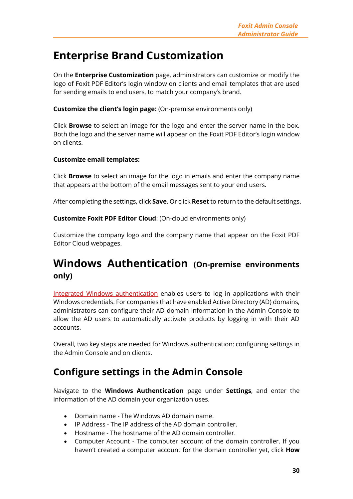## <span id="page-29-0"></span>**Enterprise Brand Customization**

On the **Enterprise Customization** page, administrators can customize or modify the logo of Foxit PDF Editor's login window on clients and email templates that are used for sending emails to end users, to match your company's brand.

**Customize the client's login page:** (On-premise environments only)

Click **Browse** to select an image for the logo and enter the server name in the box. Both the logo and the server name will appear on the Foxit PDF Editor's login window on clients.

#### **Customize email templates:**

Click **Browse** to select an image for the logo in emails and enter the company name that appears at the bottom of the email messages sent to your end users.

After completing the settings, click **Save**. Or click **Reset** to return to the default settings.

**Customize Foxit PDF Editor Cloud**: (On-cloud environments only)

Customize the company logo and the company name that appear on the Foxit PDF Editor Cloud webpages.

## <span id="page-29-1"></span>**Windows Authentication (On-premise environments only)**

[Integrated Windows authentication](https://docs.microsoft.com/en-us/aspnet/web-api/overview/security/integrated-windows-authentication) enables users to log in applications with their Windows credentials. For companies that have enabled Active Directory (AD) domains, administrators can configure their AD domain information in the Admin Console to allow the AD users to automatically activate products by logging in with their AD accounts.

Overall, two key steps are needed for Windows authentication: configuring settings in the Admin Console and on clients.

### **Configure settings in the Admin Console**

Navigate to the **Windows Authentication** page under **Settings**, and enter the information of the AD domain your organization uses.

- Domain name The Windows AD domain name.
- IP Address The IP address of the AD domain controller.
- Hostname The hostname of the AD domain controller.
- Computer Account The computer account of the domain controller. If you haven't created a computer account for the domain controller yet, click **How**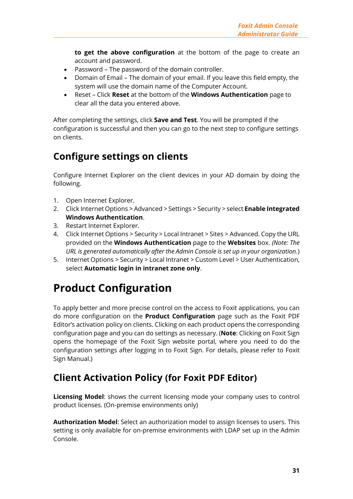**to get the above configuration** at the bottom of the page to create an account and password.

- Password The password of the domain controller.
- Domain of Email The domain of your email. If you leave this field empty, the system will use the domain name of the Computer Account.
- Reset Click **Reset** at the bottom of the **Windows Authentication** page to clear all the data you entered above.

After completing the settings, click **Save and Test**. You will be prompted if the configuration is successful and then you can go to the next step to configure settings on clients.

## **Configure settings on clients**

Configure Internet Explorer on the client devices in your AD domain by doing the following.

- 1. Open Internet Explorer.
- 2. Click Internet Options > Advanced > Settings > Security > select **Enable Integrated Windows Authentication**.
- 3. Restart Internet Explorer.
- 4. Click Internet Options > Security > Local Intranet > Sites > Advanced. Copy the URL provided on the **Windows Authentication** page to the **Websites** box. *(Note: The URL is generated automatically after the Admin Console is set up in your organization.*)
- 5. Internet Options > Security > Local Intranet > Custom Level > User Authentication, select **Automatic login in intranet zone only**.

## <span id="page-30-0"></span>**Product Configuration**

To apply better and more precise control on the access to Foxit applications, you can do more configuration on the **Product Configuration** page such as the Foxit PDF Editor's activation policy on clients. Clicking on each product opens the corresponding configuration page and you can do settings as necessary. (**Note**: Clicking on Foxit Sign opens the homepage of the Foxit Sign website portal, where you need to do the configuration settings after logging in to Foxit Sign. For details, please refer to Foxit Sign Manual.)

## <span id="page-30-1"></span>**Client Activation Policy (for Foxit PDF Editor)**

**Licensing Model**: shows the current licensing mode your company uses to control product licenses. (On-premise environments only)

**Authorization Model**: Select an authorization model to assign licenses to users. This setting is only available for on-premise environments with LDAP set up in the Admin Console.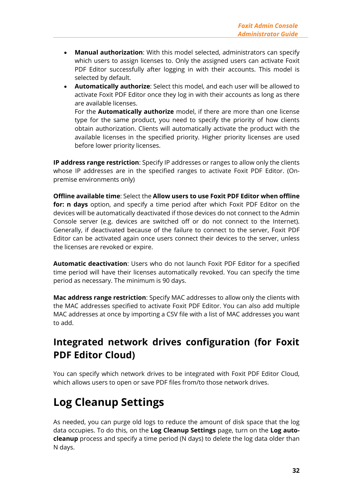- **Manual authorization**: With this model selected, administrators can specify which users to assign licenses to. Only the assigned users can activate Foxit PDF Editor successfully after logging in with their accounts. This model is selected by default.
- **Automatically authorize**: Select this model, and each user will be allowed to activate Foxit PDF Editor once they log in with their accounts as long as there are available licenses.

For the **Automatically authorize** model, if there are more than one license type for the same product, you need to specify the priority of how clients obtain authorization. Clients will automatically activate the product with the available licenses in the specified priority. Higher priority licenses are used before lower priority licenses.

**IP address range restriction**: Specify IP addresses or ranges to allow only the clients whose IP addresses are in the specified ranges to activate Foxit PDF Editor. (Onpremise environments only)

**Offline available time**: Select the **Allow users to use Foxit PDF Editor when offline for: n days** option, and specify a time period after which Foxit PDF Editor on the devices will be automatically deactivated if those devices do not connect to the Admin Console server (e.g. devices are switched off or do not connect to the Internet). Generally, if deactivated because of the failure to connect to the server, Foxit PDF Editor can be activated again once users connect their devices to the server, unless the licenses are revoked or expire.

**Automatic deactivation**: Users who do not launch Foxit PDF Editor for a specified time period will have their licenses automatically revoked. You can specify the time period as necessary. The minimum is 90 days.

**Mac address range restriction**: Specify MAC addresses to allow only the clients with the MAC addresses specified to activate Foxit PDF Editor. You can also add multiple MAC addresses at once by importing a CSV file with a list of MAC addresses you want to add.

## **Integrated network drives configuration (for Foxit PDF Editor Cloud)**

You can specify which network drives to be integrated with Foxit PDF Editor Cloud, which allows users to open or save PDF files from/to those network drives.

# <span id="page-31-0"></span>**Log Cleanup Settings**

As needed, you can purge old logs to reduce the amount of disk space that the log data occupies. To do this, on the **Log Cleanup Settings** page, turn on the **Log autocleanup** process and specify a time period (N days) to delete the log data older than N days.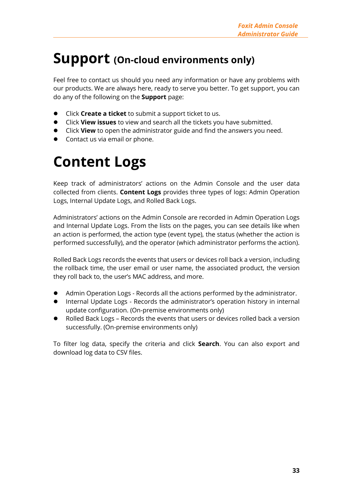# <span id="page-32-0"></span>**Support (On-cloud environments only)**

Feel free to contact us should you need any information or have any problems with our products. We are always here, ready to serve you better. To get support, you can do any of the following on the **Support** page:

- ⚫ Click **Create a ticket** to submit a support ticket to us.
- ⚫ Click **View issues** to view and search all the tickets you have submitted.
- ⚫ Click **View** to open the administrator guide and find the answers you need.
- Contact us via email or phone.

# <span id="page-32-1"></span>**Content Logs**

Keep track of administrators' actions on the Admin Console and the user data collected from clients. **Content Logs** provides three types of logs: Admin Operation Logs, Internal Update Logs, and Rolled Back Logs.

Administrators' actions on the Admin Console are recorded in Admin Operation Logs and Internal Update Logs. From the lists on the pages, you can see details like when an action is performed, the action type (event type), the status (whether the action is performed successfully), and the operator (which administrator performs the action).

Rolled Back Logs records the events that users or devices roll back a version, including the rollback time, the user email or user name, the associated product, the version they roll back to, the user's MAC address, and more.

- Admin Operation Logs Records all the actions performed by the administrator.
- ⚫ Internal Update Logs Records the administrator's operation history in internal update configuration. (On-premise environments only)
- ⚫ Rolled Back Logs Records the events that users or devices rolled back a version successfully. (On-premise environments only)

To filter log data, specify the criteria and click **Search**. You can also export and download log data to CSV files.